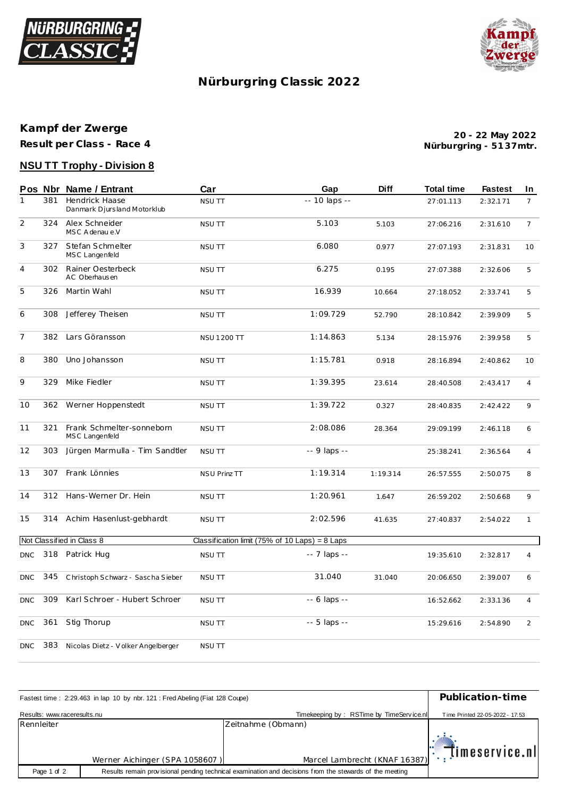



# **Nürburgring C lassic 2022**

# **Kampf der Zwerge**

**Result per Class - Race 4**

**Nürburgring - 51 37mtr. 20 - 22 May 2022**

## **NSU TT Trophy - Division 8**

|                |     | Pos Nbr Name / Entrant                        | Car                                              | Gap           | Diff     | <b>Total time</b> | <b>Fastest</b> | In             |
|----------------|-----|-----------------------------------------------|--------------------------------------------------|---------------|----------|-------------------|----------------|----------------|
| $\mathbf{1}$   | 381 | Hendrick Haase<br>Danmark Djursland Motorklub | <b>NSU TT</b>                                    | -- 10 laps -- |          | 27:01.113         | 2:32.171       | $\overline{7}$ |
| $\overline{2}$ | 324 | Alex Schneider<br>MSC A denau e.V             | NSU TT                                           | 5.103         | 5.103    | 27:06.216         | 2:31.610       | $\overline{7}$ |
| 3              | 327 | Stefan Schmelter<br>MSC Langenfeld            | <b>NSU TT</b>                                    | 6.080         | 0.977    | 27:07.193         | 2:31.831       | 10             |
| $\overline{4}$ | 302 | Rainer Oesterbeck<br>AC Oberhausen            | <b>NSU TT</b>                                    | 6.275         | 0.195    | 27:07.388         | 2:32.606       | 5              |
| 5              | 326 | Martin Wahl                                   | NSU TT                                           | 16.939        | 10.664   | 27:18.052         | 2:33.741       | 5              |
| 6              | 308 | Jefferey Theisen                              | <b>NSU TT</b>                                    | 1:09.729      | 52.790   | 28:10.842         | 2:39.909       | 5              |
| $\overline{7}$ | 382 | Lars Göransson                                | <b>NSU 1200 TT</b>                               | 1:14.863      | 5.134    | 28:15.976         | 2:39.958       | 5              |
| 8              | 380 | Uno Johansson                                 | <b>NSU TT</b>                                    | 1:15.781      | 0.918    | 28:16.894         | 2:40.862       | 10             |
| 9              | 329 | Mike Fiedler                                  | <b>NSU TT</b>                                    | 1:39.395      | 23.614   | 28:40.508         | 2:43.417       | $\overline{4}$ |
| 10             | 362 | Werner Hoppenstedt                            | <b>NSU TT</b>                                    | 1:39.722      | 0.327    | 28:40.835         | 2:42.422       | 9              |
| 11             | 321 | Frank Schmelter-sonneborn<br>MSC Langenfeld   | <b>NSU TT</b>                                    | 2:08.086      | 28.364   | 29:09.199         | 2:46.118       | 6              |
| 12             | 303 | Jürgen Marmulla - Tim Sandtler                | <b>NSU TT</b>                                    | -- 9 laps --  |          | 25:38.241         | 2:36.564       | $\overline{4}$ |
| 13             | 307 | Frank Lönnies                                 | <b>NSU Prinz TT</b>                              | 1:19.314      | 1:19.314 | 26:57.555         | 2:50.075       | 8              |
| 14             | 312 | Hans-Werner Dr. Hein                          | <b>NSU TT</b>                                    | 1:20.961      | 1.647    | 26:59.202         | 2:50.668       | 9              |
| 15             |     | 314 Achim Hasenlust-gebhardt                  | NSU TT                                           | 2:02.596      | 41.635   | 27:40.837         | 2:54.022       | $\mathbf{1}$   |
|                |     | Not Classified in Class 8                     | Classification limit (75% of 10 Laps) = $8$ Laps |               |          |                   |                |                |
| <b>DNC</b>     |     | 318 Patrick Hug                               | NSU TT                                           | -- 7 laps --  |          | 19:35.610         | 2:32.817       | $\overline{4}$ |
| <b>DNC</b>     | 345 | Christoph Schwarz - Sascha Sieber             | <b>NSU TT</b>                                    | 31.040        | 31.040   | 20:06.650         | 2:39.007       | 6              |
| <b>DNC</b>     | 309 | Karl Schroer - Hubert Schroer                 | <b>NSU TT</b>                                    | -- 6 laps --  |          | 16:52.662         | 2:33.136       | 4              |
| <b>DNC</b>     | 361 | Stig Thorup                                   | NSU TT                                           | -- 5 laps --  |          | 15:29.616         | 2:54.890       | $\overline{2}$ |
| <b>DNC</b>     | 383 | Nicolas Dietz - Volker Angelberger            | <b>NSU TT</b>                                    |               |          |                   |                |                |

| Fastest time: 2:29.463 in lap 10 by nbr. 121 : Fred Abeling (Fiat 128 Coupe) | Publication-time               |                                                                                                         |                                 |
|------------------------------------------------------------------------------|--------------------------------|---------------------------------------------------------------------------------------------------------|---------------------------------|
| Results: www.raceresults.nu                                                  |                                | Timekeeping by: RSTime by TimeService.nll                                                               | Time Printed 22-05-2022 - 17:53 |
| Rennleiter                                                                   |                                | Zeitnahme (Obmann)                                                                                      |                                 |
|                                                                              | Werner Aichinger (SPA 1058607) | Marcel Lambrecht (KNAF 16387): [IMESETVICE.N                                                            |                                 |
|                                                                              |                                |                                                                                                         |                                 |
| Page 1 of 2                                                                  |                                | Results remain provisional pending technical examination and decisions from the stewards of the meeting |                                 |